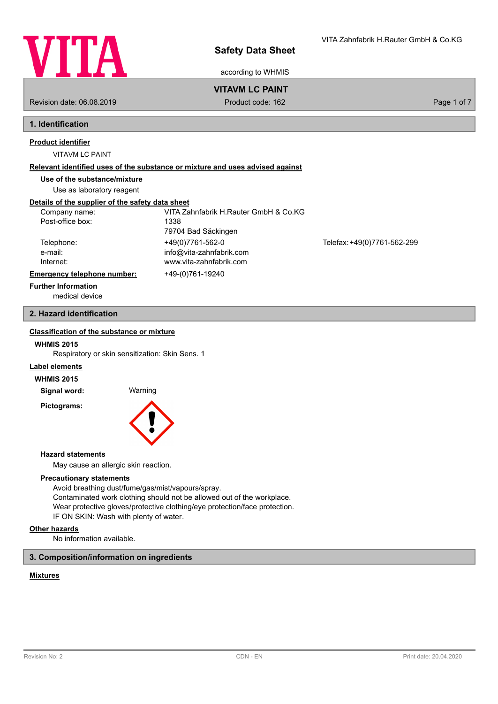

 $\mathbf{v}$  is a  $\mathbf{v}$  in maximum in Fig.

according to WHMIS

## **VITAVM LC PAINT**

Revision date: 06.08.2019 **Product code: 162** Product code: 162 **Page 1 of 7** Page 1 of 7

# **1. Identification**

### **Product identifier**

VITAVM LC PAINT

### **Relevant identified uses of the substance or mixture and uses advised against**

**Use of the substance/mixture**

Use as laboratory reagent

## **Details of the supplier of the safety data sheet**

| Company name:               | VITA Zahnfabrik H.Rauter GmbH & Co.KG |                             |
|-----------------------------|---------------------------------------|-----------------------------|
| Post-office box:            | 1338                                  |                             |
|                             | 79704 Bad Säckingen                   |                             |
| Telephone:                  | +49(0)7761-562-0                      | Telefax: +49(0)7761-562-299 |
| e-mail:                     | info@vita-zahnfabrik.com              |                             |
| Internet:                   | www.vita-zahnfabrik.com               |                             |
| Emergency telephone number: | +49-(0)761-19240                      |                             |
| <b>Further Information</b>  |                                       |                             |

medical device

## **2. Hazard identification**

## **Classification of the substance or mixture**

### **WHMIS 2015**

Respiratory or skin sensitization: Skin Sens. 1

## **Label elements**

#### **WHMIS 2015**

**Signal word:** Warning

**Pictograms:**



#### **Hazard statements**

May cause an allergic skin reaction.

## **Precautionary statements**

Avoid breathing dust/fume/gas/mist/vapours/spray. Contaminated work clothing should not be allowed out of the workplace. Wear protective gloves/protective clothing/eye protection/face protection. IF ON SKIN: Wash with plenty of water.

#### **Other hazards**

No information available.

### **3. Composition/information on ingredients**

## **Mixtures**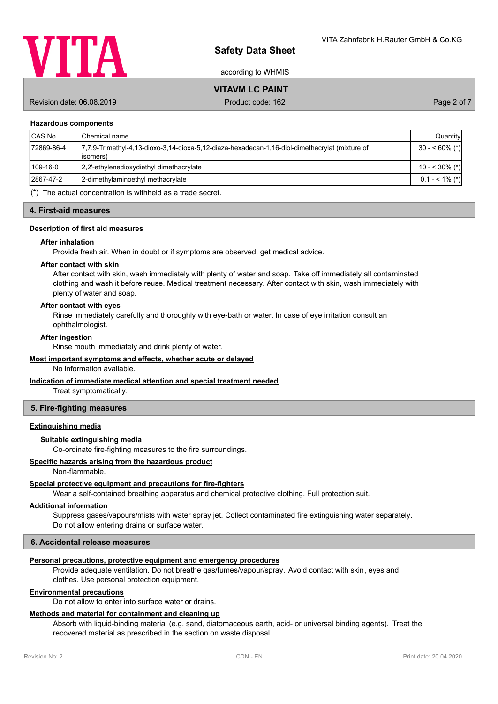

according to WHMIS

**VITAVM LC PAINT**

Revision date: 06.08.2019 **Product code: 162** Product code: 162 **Page 2 of 7** Page 2 of 7

#### **Hazardous components**

| <b>CAS No</b> | l Chemical name                                                                                            | Quantity          |
|---------------|------------------------------------------------------------------------------------------------------------|-------------------|
| 72869-86-4    | 7.7.9-Trimethyl-4.13-dioxo-3.14-dioxa-5.12-diaza-hexadecan-1.16-diol-dimethacrylat (mixture of<br>(isomers | $30 - 60\%$ (*)   |
| 109-16-0      | [2,2'-ethylenedioxydiethyl dimethacrylate]                                                                 | 10 - < 30% (*)    |
| 2867-47-2     | 2-dimethylaminoethyl methacrylate                                                                          | $0.1 - 5.1\%$ (*) |
|               | .                                                                                                          |                   |

(\*) The actual concentration is withheld as a trade secret.

#### **4. First-aid measures**

#### **Description of first aid measures**

#### **After inhalation**

Provide fresh air. When in doubt or if symptoms are observed, get medical advice.

#### **After contact with skin**

After contact with skin, wash immediately with plenty of water and soap. Take off immediately all contaminated clothing and wash it before reuse. Medical treatment necessary. After contact with skin, wash immediately with plenty of water and soap.

### **After contact with eyes**

Rinse immediately carefully and thoroughly with eye-bath or water. In case of eye irritation consult an ophthalmologist.

#### **After ingestion**

Rinse mouth immediately and drink plenty of water.

### **Most important symptoms and effects, whether acute or delayed**

No information available.

### **Indication of immediate medical attention and special treatment needed**

Treat symptomatically.

#### **5. Fire-fighting measures**

#### **Extinguishing media**

## **Suitable extinguishing media**

Co-ordinate fire-fighting measures to the fire surroundings.

### **Specific hazards arising from the hazardous product**

Non-flammable.

## **Special protective equipment and precautions for fire-fighters**

Wear a self-contained breathing apparatus and chemical protective clothing. Full protection suit.

## **Additional information**

Suppress gases/vapours/mists with water spray jet. Collect contaminated fire extinguishing water separately. Do not allow entering drains or surface water.

## **6. Accidental release measures**

## **Personal precautions, protective equipment and emergency procedures**

Provide adequate ventilation. Do not breathe gas/fumes/vapour/spray. Avoid contact with skin, eyes and clothes. Use personal protection equipment.

## **Environmental precautions**

Do not allow to enter into surface water or drains.

## **Methods and material for containment and cleaning up**

Absorb with liquid-binding material (e.g. sand, diatomaceous earth, acid- or universal binding agents). Treat the recovered material as prescribed in the section on waste disposal.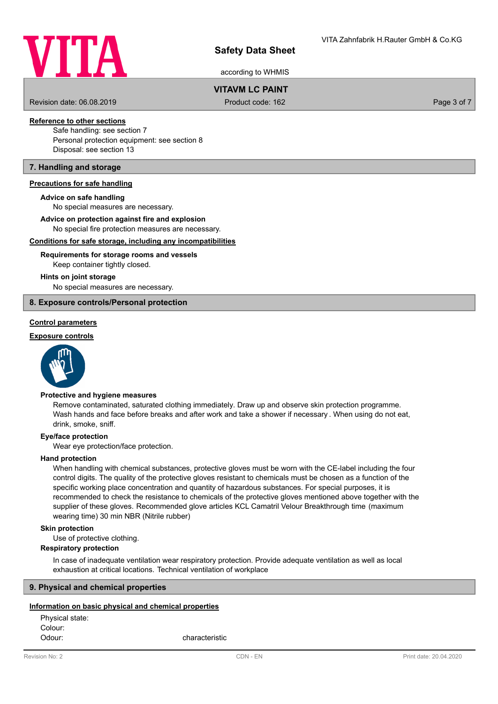

according to WHMIS

# **VITAVM LC PAINT**

Revision date: 06.08.2019 **Product code: 162** Product code: 162 **Page 3 of 7** Page 3 of 7

# **Reference to other sections**

Safe handling: see section 7 Personal protection equipment: see section 8 Disposal: see section 13

## **7. Handling and storage**

### **Precautions for safe handling**

#### **Advice on safe handling**

No special measures are necessary.

### **Advice on protection against fire and explosion**

No special fire protection measures are necessary.

### **Conditions for safe storage, including any incompatibilities**

## Keep container tightly closed. **Requirements for storage rooms and vessels**

#### **Hints on joint storage**

No special measures are necessary.

### **8. Exposure controls/Personal protection**

## **Control parameters**

#### **Exposure controls**



### **Protective and hygiene measures**

Remove contaminated, saturated clothing immediately. Draw up and observe skin protection programme. Wash hands and face before breaks and after work and take a shower if necessary . When using do not eat, drink, smoke, sniff.

#### **Eye/face protection**

Wear eye protection/face protection.

#### **Hand protection**

When handling with chemical substances, protective gloves must be worn with the CE-label including the four control digits. The quality of the protective gloves resistant to chemicals must be chosen as a function of the specific working place concentration and quantity of hazardous substances. For special purposes, it is recommended to check the resistance to chemicals of the protective gloves mentioned above together with the supplier of these gloves. Recommended glove articles KCL Camatril Velour Breakthrough time (maximum wearing time) 30 min NBR (Nitrile rubber)

#### **Skin protection**

Use of protective clothing.

#### **Respiratory protection**

In case of inadequate ventilation wear respiratory protection. Provide adequate ventilation as well as local exhaustion at critical locations. Technical ventilation of workplace

## **9. Physical and chemical properties**

#### **Information on basic physical and chemical properties**

Physical state: Colour: Odour: characteristic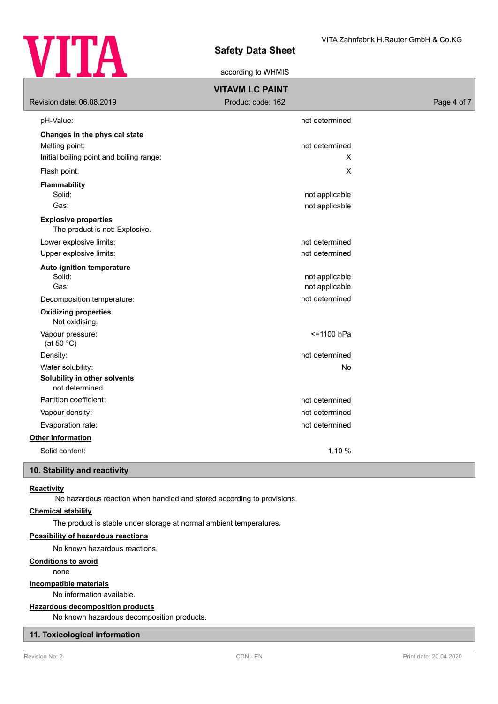

according to WHMIS

| <b>VITAVM LC PAINT</b>                                        |                                  |             |  |  |
|---------------------------------------------------------------|----------------------------------|-------------|--|--|
| Revision date: 06.08.2019                                     | Product code: 162                | Page 4 of 7 |  |  |
| pH-Value:                                                     | not determined                   |             |  |  |
| Changes in the physical state                                 |                                  |             |  |  |
| Melting point:                                                | not determined                   |             |  |  |
| Initial boiling point and boiling range:                      | X                                |             |  |  |
| Flash point:                                                  | X                                |             |  |  |
| <b>Flammability</b>                                           |                                  |             |  |  |
| Solid:                                                        | not applicable                   |             |  |  |
| Gas:                                                          | not applicable                   |             |  |  |
| <b>Explosive properties</b><br>The product is not: Explosive. |                                  |             |  |  |
| Lower explosive limits:                                       | not determined                   |             |  |  |
| Upper explosive limits:                                       | not determined                   |             |  |  |
| <b>Auto-ignition temperature</b><br>Solid:<br>Gas:            | not applicable<br>not applicable |             |  |  |
| Decomposition temperature:                                    | not determined                   |             |  |  |
| <b>Oxidizing properties</b><br>Not oxidising.                 |                                  |             |  |  |
| Vapour pressure:<br>(at 50 $^{\circ}$ C)                      | <= 1100 hPa                      |             |  |  |
| Density:                                                      | not determined                   |             |  |  |
| Water solubility:                                             | No                               |             |  |  |
| Solubility in other solvents<br>not determined                |                                  |             |  |  |
| Partition coefficient:                                        | not determined                   |             |  |  |
| Vapour density:                                               | not determined                   |             |  |  |
| Evaporation rate:                                             | not determined                   |             |  |  |
| Other information                                             |                                  |             |  |  |
| Solid content:                                                | 1,10 %                           |             |  |  |
| 10 Stability and roactivity                                   |                                  |             |  |  |

## **10. Stability and reactivity**

## **Reactivity**

No hazardous reaction when handled and stored according to provisions.

## **Chemical stability**

The product is stable under storage at normal ambient temperatures.

## **Possibility of hazardous reactions**

No known hazardous reactions.

## **Conditions to avoid**

none

### **Incompatible materials**

No information available.

## **Hazardous decomposition products**

No known hazardous decomposition products.

## **11. Toxicological information**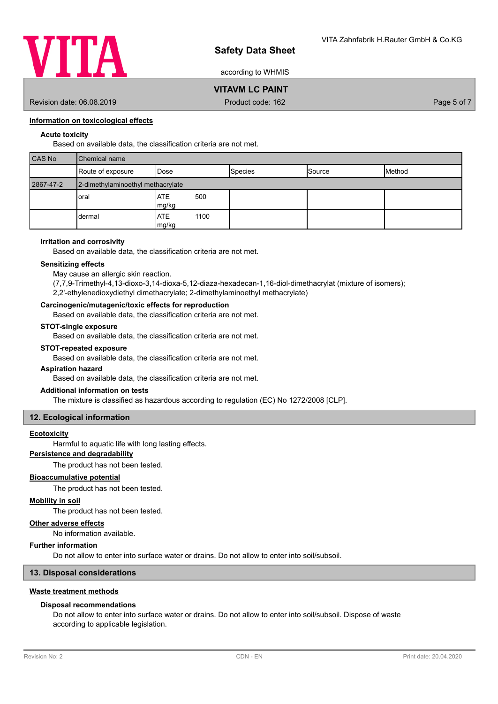

according to WHMIS

# **VITAVM LC PAINT**

Revision date: 06.08.2019 **Product code: 162** Product code: 162 **Page 5 of 7** Page 5 of 7

## **Information on toxicological effects**

## **Acute toxicity**

Based on available data, the classification criteria are not met.

| CAS No    | <b>I</b> Chemical name            |                             |                |               |        |
|-----------|-----------------------------------|-----------------------------|----------------|---------------|--------|
|           | Route of exposure                 | <b>I</b> Dose               | <b>Species</b> | <b>Source</b> | Method |
| 2867-47-2 | 2-dimethylaminoethyl methacrylate |                             |                |               |        |
|           | oral                              | <b>ATE</b><br>500<br>mg/kg  |                |               |        |
|           | dermal                            | <b>ATE</b><br>1100<br>mg/kg |                |               |        |

### **Irritation and corrosivity**

Based on available data, the classification criteria are not met.

### **Sensitizing effects**

May cause an allergic skin reaction.

(7,7,9-Trimethyl-4,13-dioxo-3,14-dioxa-5,12-diaza-hexadecan-1,16-diol-dimethacrylat (mixture of isomers); 2,2'-ethylenedioxydiethyl dimethacrylate; 2-dimethylaminoethyl methacrylate)

## **Carcinogenic/mutagenic/toxic effects for reproduction**

Based on available data, the classification criteria are not met.

### **STOT-single exposure**

Based on available data, the classification criteria are not met.

## **STOT-repeated exposure**

Based on available data, the classification criteria are not met.

#### **Aspiration hazard**

Based on available data, the classification criteria are not met.

## **Additional information on tests**

The mixture is classified as hazardous according to regulation (EC) No 1272/2008 [CLP].

### **12. Ecological information**

### **Ecotoxicity**

Harmful to aquatic life with long lasting effects.

# **Persistence and degradability**

The product has not been tested.

# **Bioaccumulative potential**

The product has not been tested.

## **Mobility in soil**

The product has not been tested.

### **Other adverse effects**

No information available.

### **Further information**

Do not allow to enter into surface water or drains. Do not allow to enter into soil/subsoil.

## **13. Disposal considerations**

### **Waste treatment methods**

### **Disposal recommendations**

Do not allow to enter into surface water or drains. Do not allow to enter into soil/subsoil. Dispose of waste according to applicable legislation.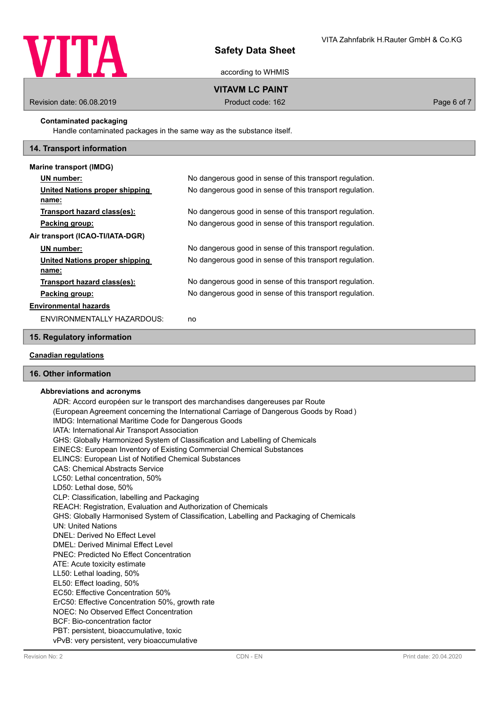

according to WHMIS

# **VITAVM LC PAINT**

Revision date: 06.08.2019 **Product code: 162** Product code: 162 **Page 6 of 7** Page 6 of 7

## **Contaminated packaging**

Handle contaminated packages in the same way as the substance itself.

### **14. Transport information**

| Marine transport (IMDG)          |                                                          |
|----------------------------------|----------------------------------------------------------|
| UN number:                       | No dangerous good in sense of this transport regulation. |
| United Nations proper shipping   | No dangerous good in sense of this transport regulation. |
| name:                            |                                                          |
| Transport hazard class(es):      | No dangerous good in sense of this transport regulation. |
| Packing group:                   | No dangerous good in sense of this transport regulation. |
| Air transport (ICAO-TI/IATA-DGR) |                                                          |
| UN number:                       | No dangerous good in sense of this transport regulation. |
| United Nations proper shipping   | No dangerous good in sense of this transport regulation. |
| name:                            |                                                          |
| Transport hazard class(es):      | No dangerous good in sense of this transport regulation. |
| Packing group:                   | No dangerous good in sense of this transport regulation. |
| <b>Environmental hazards</b>     |                                                          |
| ENVIRONMENTALLY HAZARDOUS:       | no                                                       |

### **15. Regulatory information**

### **Canadian regulations**

## **16. Other information**

### **Abbreviations and acronyms**

ADR: Accord européen sur le transport des marchandises dangereuses par Route (European Agreement concerning the International Carriage of Dangerous Goods by Road ) IMDG: International Maritime Code for Dangerous Goods IATA: International Air Transport Association GHS: Globally Harmonized System of Classification and Labelling of Chemicals EINECS: European Inventory of Existing Commercial Chemical Substances ELINCS: European List of Notified Chemical Substances CAS: Chemical Abstracts Service LC50: Lethal concentration, 50% LD50: Lethal dose, 50% CLP: Classification, labelling and Packaging REACH: Registration, Evaluation and Authorization of Chemicals GHS: Globally Harmonised System of Classification, Labelling and Packaging of Chemicals UN: United Nations DNEL: Derived No Effect Level DMEL: Derived Minimal Effect Level PNEC: Predicted No Effect Concentration ATE: Acute toxicity estimate LL50: Lethal loading, 50% EL50: Effect loading, 50% EC50: Effective Concentration 50% ErC50: Effective Concentration 50%, growth rate NOEC: No Observed Effect Concentration BCF: Bio-concentration factor PBT: persistent, bioaccumulative, toxic vPvB: very persistent, very bioaccumulative